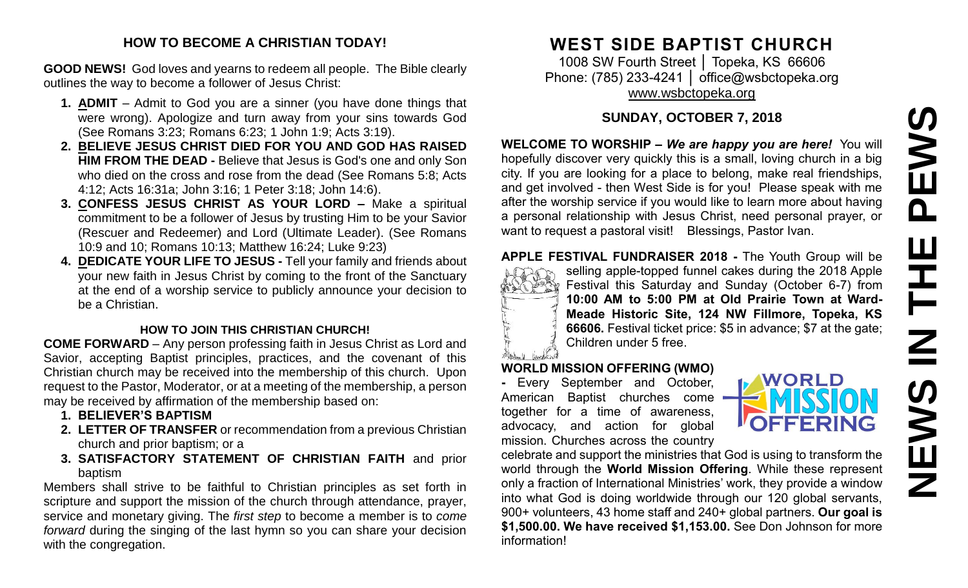# PEWS **NEWS IN THE PEWS**Ш Ē  $\overline{\underline{\mathbf{z}}}$ **SWEN**

#### **HOW TO BECOME A CHRISTIAN TODAY!**

**GOOD NEWS!** God loves and yearns to redeem all people. The Bible clearly outlines the way to become a follower of Jesus Christ:

- **1. ADMIT** Admit to God you are a sinner (you have done things that were wrong). Apologize and turn away from your sins towards God (See Romans 3:23; Romans 6:23; 1 John 1:9; Acts 3:19).
- **2. BELIEVE JESUS CHRIST DIED FOR YOU AND GOD HAS RAISED HIM FROM THE DEAD -** Believe that Jesus is God's one and only Son who died on the cross and rose from the dead (See Romans 5:8; Acts 4:12; Acts 16:31a; John 3:16; 1 Peter 3:18; John 14:6).
- **3. CONFESS JESUS CHRIST AS YOUR LORD –** Make a spiritual commitment to be a follower of Jesus by trusting Him to be your Savior (Rescuer and Redeemer) and Lord (Ultimate Leader). (See Romans 10:9 and 10; Romans 10:13; Matthew 16:24; Luke 9:23)
- **4. DEDICATE YOUR LIFE TO JESUS -** Tell your family and friends about your new faith in Jesus Christ by coming to the front of the Sanctuary at the end of a worship service to publicly announce your decision to be a Christian.

#### **HOW TO JOIN THIS CHRISTIAN CHURCH!**

**COME FORWARD** – Any person professing faith in Jesus Christ as Lord and Savior, accepting Baptist principles, practices, and the covenant of this Christian church may be received into the membership of this church. Upon request to the Pastor, Moderator, or at a meeting of the membership, a person may be received by affirmation of the membership based on:

- **1. BELIEVER'S BAPTISM**
- **2. LETTER OF TRANSFER** or recommendation from a previous Christian church and prior baptism; or a
- **3. SATISFACTORY STATEMENT OF CHRISTIAN FAITH** and prior baptism

Members shall strive to be faithful to Christian principles as set forth in scripture and support the mission of the church through attendance, prayer, service and monetary giving. The *first step* to become a member is to *come forward* during the singing of the last hymn so you can share your decision with the congregation.

# **WEST SIDE BAPTIST CHURCH**

1008 SW Fourth Street │ Topeka, KS 66606 Phone: (785) 233-4241 | [office@wsbctopeka.org](mailto:office@wsbctopeka.org) [www.wsbctopeka.org](http://www.wsbctopeka.org/)

# **SUNDAY, OCTOBER 7, 2018**

**WELCOME TO WORSHIP –** *We are happy you are here!* You will hopefully discover very quickly this is a small, loving church in a big city. If you are looking for a place to belong, make real friendships, and get involved - then West Side is for you! Please speak with me after the worship service if you would like to learn more about having a personal relationship with Jesus Christ, need personal prayer, or want to request a pastoral visit! Blessings, Pastor Ivan.

#### **APPLE FESTIVAL FUNDRAISER 2018 -** The Youth Group will be



selling apple-topped funnel cakes during the 2018 Apple Festival this Saturday and Sunday (October 6-7) from **10:00 AM to 5:00 PM at Old Prairie Town at Ward-Meade Historic Site, 124 NW Fillmore, Topeka, KS 66606.** Festival ticket price: \$5 in advance; \$7 at the gate; Children under 5 free.

#### **WORLD MISSION OFFERING (WMO)**

**-** Every September and October, American Baptist churches come together for a time of awareness, advocacy, and action for global mission. Churches across the country

celebrate and support the ministries that God is using to transform the world through the **World Mission Offering**. While these represent only a fraction of International Ministries' work, they provide a window into what God is doing worldwide through our 120 global servants, 900+ volunteers, 43 home staff and 240+ global partners. **Our goal is \$1,500.00. We have received \$1,153.00.** See Don Johnson for more information!

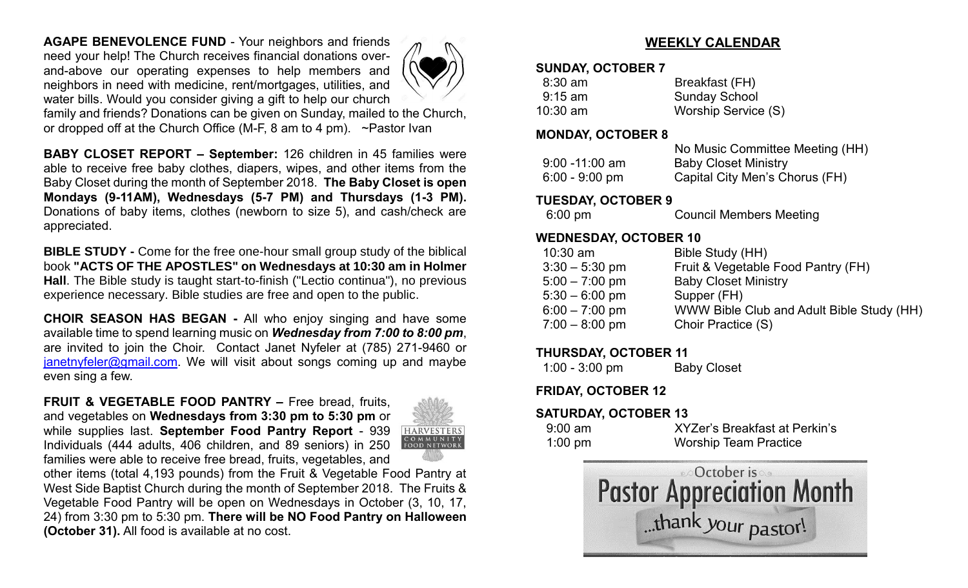**AGAPE BENEVOLENCE FUND** - Your neighbors and friends need your help! The Church receives financial donations overand-above our operating expenses to help members and neighbors in need with medicine, rent/mortgages, utilities, and water bills. Would you consider giving a gift to help our church



family and friends? Donations can be given on Sunday, mailed to the Church, or dropped off at the Church Office (M-F, 8 am to 4 pm). ~Pastor Ivan

**BABY CLOSET REPORT – September:** 126 children in 45 families were able to receive free baby clothes, diapers, wipes, and other items from the Baby Closet during the month of September 2018. **The Baby Closet is open Mondays (9-11AM), Wednesdays (5-7 PM) and Thursdays (1-3 PM).**  Donations of baby items, clothes (newborn to size 5), and cash/check are appreciated.

**BIBLE STUDY -** Come for the free one-hour small group study of the biblical book **"ACTS OF THE APOSTLES" on Wednesdays at 10:30 am in Holmer Hall**. The Bible study is taught start-to-finish ("Lectio continua"), no previous experience necessary. Bible studies are free and open to the public.

**CHOIR SEASON HAS BEGAN -** All who enjoy singing and have some available time to spend learning music on *Wednesday from 7:00 to 8:00 pm*, are invited to join the Choir. Contact Janet Nyfeler at (785) 271-9460 or [janetnyfeler@gmail.com.](mailto:janetnyfeler@gmail.com) We will visit about songs coming up and maybe even sing a few.

**FRUIT & VEGETABLE FOOD PANTRY –** Free bread, fruits, and vegetables on **Wednesdays from 3:30 pm to 5:30 pm** or while supplies last. **September Food Pantry Report** - 939 Individuals (444 adults, 406 children, and 89 seniors) in 250 families were able to receive free bread, fruits, vegetables, and



other items (total 4,193 pounds) from the Fruit & Vegetable Food Pantry at West Side Baptist Church during the month of September 2018. The Fruits & Vegetable Food Pantry will be open on Wednesdays in October (3, 10, 17, 24) from 3:30 pm to 5:30 pm. **There will be NO Food Pantry on Halloween (October 31).** All food is available at no cost.

# **WEEKLY CALENDAR**

#### **SUNDAY, OCTOBER 7**

| $8:30$ am  | Breakfast (FH)       |
|------------|----------------------|
| $9:15$ am  | <b>Sunday School</b> |
| $10:30$ am | Worship Service (S)  |

#### **MONDAY, OCTOBER 8**

|                   | No Music Committee Meeting (HH) |
|-------------------|---------------------------------|
| $9:00 - 11:00$ am | <b>Baby Closet Ministry</b>     |
| $6:00 - 9:00$ pm  | Capital City Men's Chorus (FH)  |

#### **TUESDAY, OCTOBER 9**

| $6:00 \text{ pm}$ | <b>Council Members Meeting</b> |
|-------------------|--------------------------------|
|-------------------|--------------------------------|

## **WEDNESDAY, OCTOBER 10**

| $10:30$ am       | Bible Study (HH)                          |
|------------------|-------------------------------------------|
| $3:30 - 5:30$ pm | Fruit & Vegetable Food Pantry (FH)        |
| $5:00 - 7:00$ pm | <b>Baby Closet Ministry</b>               |
| $5:30 - 6:00$ pm | Supper (FH)                               |
| $6:00 - 7:00$ pm | WWW Bible Club and Adult Bible Study (HH) |
| $7:00 - 8:00$ pm | Choir Practice (S)                        |
|                  |                                           |

#### **THURSDAY, OCTOBER 11**

1:00 - 3:00 pm Baby Closet

**FRIDAY, OCTOBER 12**

# **SATURDAY, OCTOBER 13**

| $9:00$ am         | XYZer's Breakfast at Perkin's |
|-------------------|-------------------------------|
| $1:00 \text{ pm}$ | <b>Worship Team Practice</b>  |

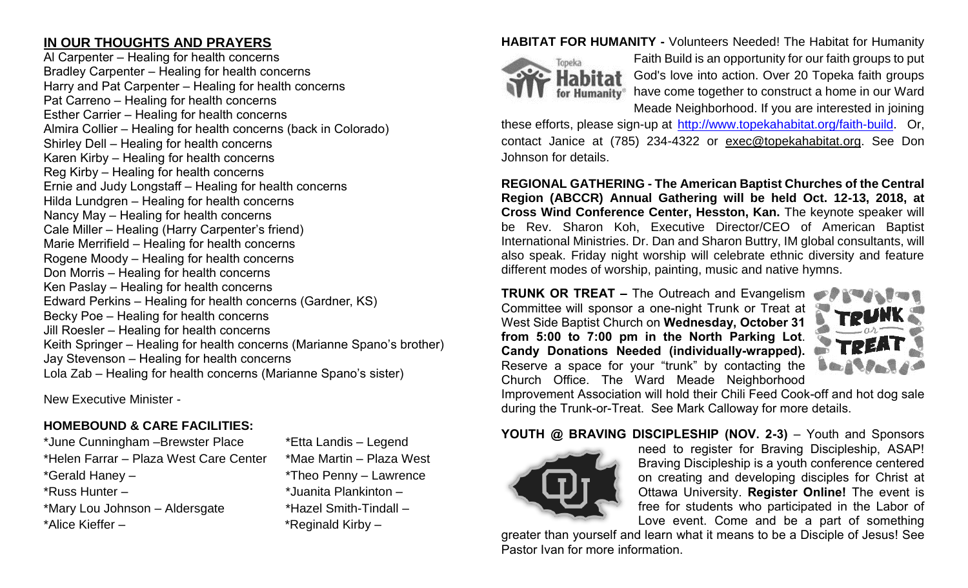# **IN OUR THOUGHTS AND PRAYERS**

Al Carpenter – Healing for health concerns Bradley Carpenter – Healing for health concerns Harry and Pat Carpenter – Healing for health concerns Pat Carreno – Healing for health concerns Esther Carrier – Healing for health concerns Almira Collier – Healing for health concerns (back in Colorado) Shirley Dell – Healing for health concerns Karen Kirby – Healing for health concerns Reg Kirby – Healing for health concerns Ernie and Judy Longstaff – Healing for health concerns Hilda Lundgren – Healing for health concerns Nancy May – Healing for health concerns Cale Miller – Healing (Harry Carpenter's friend) Marie Merrifield – Healing for health concerns Rogene Moody – Healing for health concerns Don Morris – Healing for health concerns Ken Paslay – Healing for health concerns Edward Perkins – Healing for health concerns (Gardner, KS) Becky Poe – Healing for health concerns Jill Roesler – Healing for health concerns Keith Springer – Healing for health concerns (Marianne Spano's brother) Jay Stevenson – Healing for health concerns Lola Zab – Healing for health concerns (Marianne Spano's sister)

New Executive Minister -

# **HOMEBOUND & CARE FACILITIES:**

\*June Cunningham –Brewster Place \*Etta Landis – Legend \*Helen Farrar – Plaza West Care Center \*Mae Martin – Plaza West \*Gerald Haney – \*Theo Penny – Lawrence \*Russ Hunter – \*Juanita Plankinton – \*Mary Lou Johnson – Aldersgate \*Hazel Smith-Tindall – \*Alice Kieffer – \* \*Reginald Kirby –

### **HABITAT FOR HUMANITY -** Volunteers Needed! The Habitat for Humanity



Faith Build is an opportunity for our faith groups to put God's love into action. Over 20 Topeka faith groups for Humanity<sup>®</sup> have come together to construct a home in our Ward Meade Neighborhood. If you are interested in joining

these efforts, please sign-up at [http://www.topekahabitat.org/faith-build.](http://www.topekahabitat.org/faith-build) Or, contact Janice at (785) 234-4322 or [exec@topekahabitat.org.](mailto:exec@topekahabitat.org) See Don Johnson for details.

**REGIONAL GATHERING - The American Baptist Churches of the Central Region (ABCCR) Annual Gathering will be held Oct. 12-13, 2018, at Cross Wind Conference Center, Hesston, Kan.** The keynote speaker will be Rev. Sharon Koh, Executive Director/CEO of American Baptist International Ministries. Dr. Dan and Sharon Buttry, IM global consultants, will also speak. Friday night worship will celebrate ethnic diversity and feature different modes of worship, painting, music and native hymns.

**TRUNK OR TREAT –** The Outreach and Evangelism Committee will sponsor a one-night Trunk or Treat at West Side Baptist Church on **Wednesday, October 31 from 5:00 to 7:00 pm in the North Parking Lot**. **Candy Donations Needed (individually-wrapped).** Reserve a space for your "trunk" by contacting the Church Office. The Ward Meade Neighborhood



Improvement Association will hold their Chili Feed Cook-off and hot dog sale during the Trunk-or-Treat. See Mark Calloway for more details.

#### **YOUTH @ BRAVING DISCIPLESHIP (NOV. 2-3)** – Youth and Sponsors



need to register for Braving Discipleship, ASAP! Braving Discipleship is a youth conference centered on creating and developing disciples for Christ at Ottawa University. **Register Online!** The event is free for students who participated in the Labor of Love event. Come and be a part of something

greater than yourself and learn what it means to be a Disciple of Jesus! See Pastor Ivan for more information.